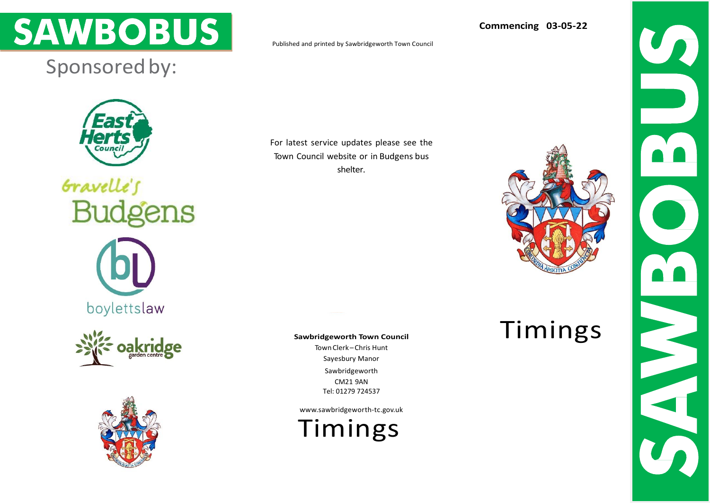

## Sponsored by:

**Herts** Counci

Gravelle's **Budgens** 

boylettslaw





Published and printed by [Sawbridgeworth Town Council](http://www.redgraphic.co.uk/)

For latest service updates please see the Town Council website or in Budgens bus shelter.

**Sawbridgeworth Town Council**

TownClerk –Chris Hunt Sayesbury Manor Sawbridgeworth CM21 9AN Tel: 01279 724537

[www.sawbridgeworth-tc.gov.uk](http://www.sawbridgeworth-tc.gov.uk/)

Timings

**Commencing 03-05-22**



Timings